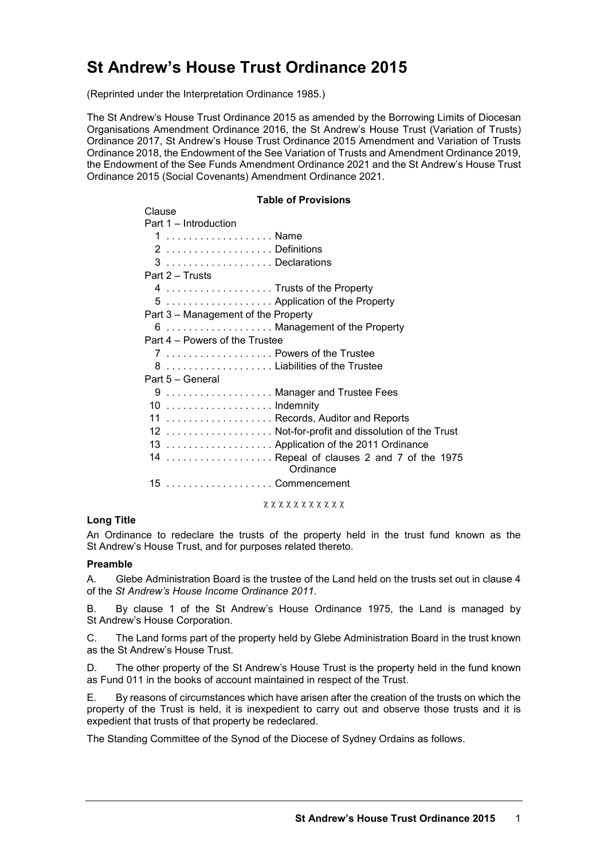# **St Andrew's House Trust Ordinance 2015**

(Reprinted under the Interpretation Ordinance 1985.)

The St Andrew's House Trust Ordinance 2015 as amended by the Borrowing Limits of Diocesan Organisations Amendment Ordinance 2016, the St Andrew's House Trust (Variation of Trusts) Ordinance 2017, St Andrew's House Trust Ordinance 2015 Amendment and Variation of Trusts Ordinance 2018, the Endowment of the See Variation of Trusts and Amendment Ordinance 2019, the Endowment of the See Funds Amendment Ordinance 2021 and the St Andrew's House Trust Ordinance 2015 (Social Covenants) Amendment Ordinance 2021.

#### **Table of Provisions**

| Clause                                                 |
|--------------------------------------------------------|
| Part 1 - Introduction                                  |
| 1  Name                                                |
| 2 Definitions                                          |
| 3 Declarations                                         |
| Part 2 – Trusts                                        |
| 4  Trusts of the Property                              |
| 5  Application of the Property                         |
| Part 3 – Management of the Property                    |
| 6  Management of the Property                          |
| Part 4 – Powers of the Trustee                         |
| 7  Powers of the Trustee                               |
| 8  Liabilities of the Trustee                          |
| Part 5 - General                                       |
| 9  Manager and Trustee Fees                            |
|                                                        |
| 11  Records, Auditor and Reports                       |
| 12  Not-for-profit and dissolution of the Trust        |
| 13  Application of the 2011 Ordinance                  |
| 14  Repeal of clauses 2 and 7 of the 1975<br>Ordinance |
| 15 Commencement                                        |

#### χ χ χ χ χ χ χ χ χ χ χ

#### **Long Title**

An Ordinance to redeclare the trusts of the property held in the trust fund known as the St Andrew's House Trust, and for purposes related thereto.

#### **Preamble**

A. Glebe Administration Board is the trustee of the Land held on the trusts set out in clause 4 of the *St Andrew's House Income Ordinance 2011*.

B. By clause 1 of the St Andrew's House Ordinance 1975, the Land is managed by St Andrew's House Corporation.

C. The Land forms part of the property held by Glebe Administration Board in the trust known as the St Andrew's House Trust.

D. The other property of the St Andrew's House Trust is the property held in the fund known as Fund 011 in the books of account maintained in respect of the Trust.

E. By reasons of circumstances which have arisen after the creation of the trusts on which the property of the Trust is held, it is inexpedient to carry out and observe those trusts and it is expedient that trusts of that property be redeclared.

The Standing Committee of the Synod of the Diocese of Sydney Ordains as follows.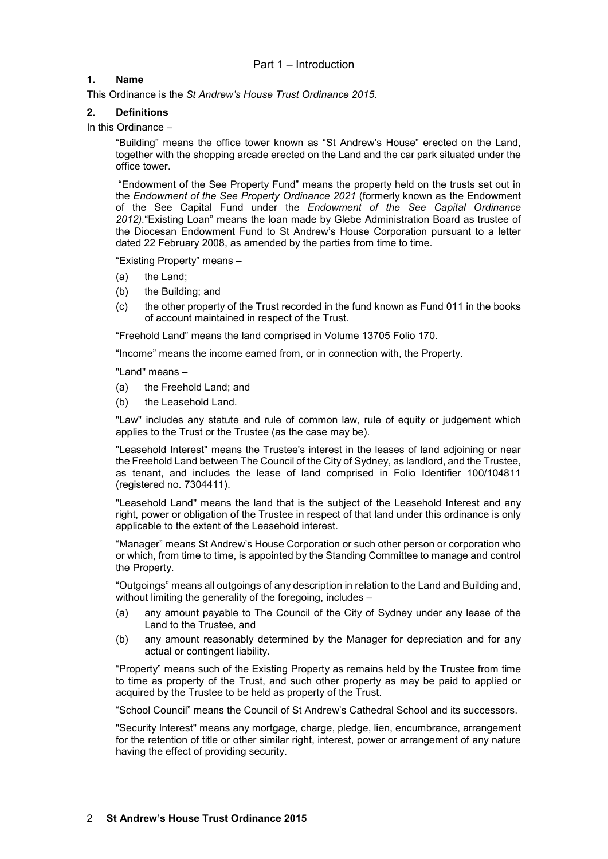# **1. Name**

This Ordinance is the *St Andrew's House Trust Ordinance 2015*.

## **2. Definitions**

In this Ordinance –

"Building" means the office tower known as "St Andrew's House" erected on the Land, together with the shopping arcade erected on the Land and the car park situated under the office tower.

"Endowment of the See Property Fund" means the property held on the trusts set out in the *Endowment of the See Property Ordinance 2021* (formerly known as the Endowment of the See Capital Fund under the *Endowment of the See Capital Ordinance 2012).*"Existing Loan" means the loan made by Glebe Administration Board as trustee of the Diocesan Endowment Fund to St Andrew's House Corporation pursuant to a letter dated 22 February 2008, as amended by the parties from time to time.

"Existing Property" means –

- (a) the Land;
- (b) the Building; and
- (c) the other property of the Trust recorded in the fund known as Fund 011 in the books of account maintained in respect of the Trust.

"Freehold Land" means the land comprised in Volume 13705 Folio 170.

"Income" means the income earned from, or in connection with, the Property.

"Land" means –

- (a) the Freehold Land; and
- (b) the Leasehold Land.

"Law" includes any statute and rule of common law, rule of equity or judgement which applies to the Trust or the Trustee (as the case may be).

"Leasehold Interest" means the Trustee's interest in the leases of land adjoining or near the Freehold Land between The Council of the City of Sydney, as landlord, and the Trustee, as tenant, and includes the lease of land comprised in Folio Identifier 100/104811 (registered no. 7304411).

"Leasehold Land" means the land that is the subject of the Leasehold Interest and any right, power or obligation of the Trustee in respect of that land under this ordinance is only applicable to the extent of the Leasehold interest.

"Manager" means St Andrew's House Corporation or such other person or corporation who or which, from time to time, is appointed by the Standing Committee to manage and control the Property.

"Outgoings" means all outgoings of any description in relation to the Land and Building and, without limiting the generality of the foregoing, includes –

- (a) any amount payable to The Council of the City of Sydney under any lease of the Land to the Trustee, and
- (b) any amount reasonably determined by the Manager for depreciation and for any actual or contingent liability.

"Property" means such of the Existing Property as remains held by the Trustee from time to time as property of the Trust, and such other property as may be paid to applied or acquired by the Trustee to be held as property of the Trust.

"School Council" means the Council of St Andrew's Cathedral School and its successors.

"Security Interest" means any mortgage, charge, pledge, lien, encumbrance, arrangement for the retention of title or other similar right, interest, power or arrangement of any nature having the effect of providing security.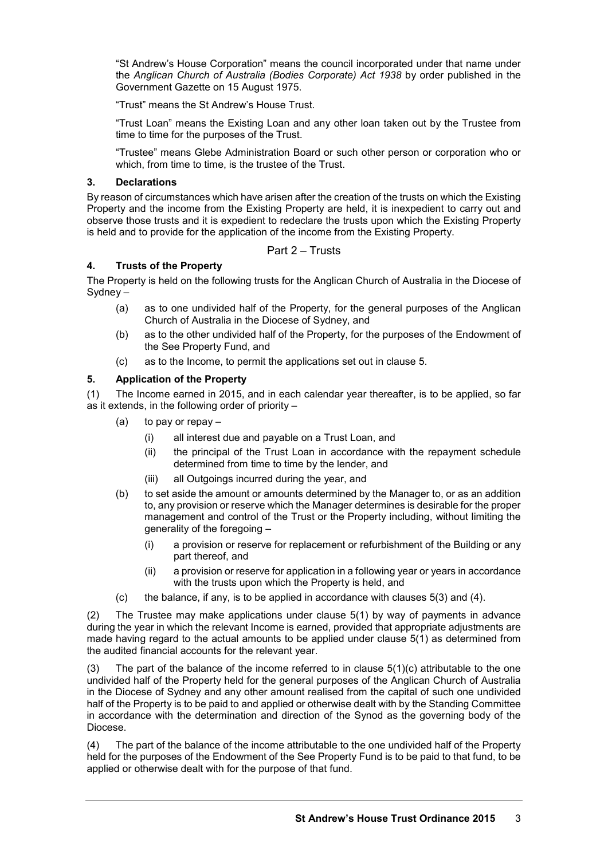"St Andrew's House Corporation" means the council incorporated under that name under the *Anglican Church of Australia (Bodies Corporate) Act 1938* by order published in the Government Gazette on 15 August 1975.

"Trust" means the St Andrew's House Trust.

"Trust Loan" means the Existing Loan and any other loan taken out by the Trustee from time to time for the purposes of the Trust.

"Trustee" means Glebe Administration Board or such other person or corporation who or which, from time to time, is the trustee of the Trust.

#### **3. Declarations**

By reason of circumstances which have arisen after the creation of the trusts on which the Existing Property and the income from the Existing Property are held, it is inexpedient to carry out and observe those trusts and it is expedient to redeclare the trusts upon which the Existing Property is held and to provide for the application of the income from the Existing Property.

# Part 2 – Trusts

#### **4. Trusts of the Property**

The Property is held on the following trusts for the Anglican Church of Australia in the Diocese of Sydney –

- (a) as to one undivided half of the Property, for the general purposes of the Anglican Church of Australia in the Diocese of Sydney, and
- (b) as to the other undivided half of the Property, for the purposes of the Endowment of the See Property Fund, and
- (c) as to the Income, to permit the applications set out in clause 5.

#### **5. Application of the Property**

(1) The Income earned in 2015, and in each calendar year thereafter, is to be applied, so far as it extends, in the following order of priority –

- (a) to pay or repay
	- (i) all interest due and payable on a Trust Loan, and
	- (ii) the principal of the Trust Loan in accordance with the repayment schedule determined from time to time by the lender, and
	- (iii) all Outgoings incurred during the year, and
- (b) to set aside the amount or amounts determined by the Manager to, or as an addition to, any provision or reserve which the Manager determines is desirable for the proper management and control of the Trust or the Property including, without limiting the generality of the foregoing –
	- (i) a provision or reserve for replacement or refurbishment of the Building or any part thereof, and
	- (ii) a provision or reserve for application in a following year or years in accordance with the trusts upon which the Property is held, and
- (c) the balance, if any, is to be applied in accordance with clauses  $5(3)$  and  $(4)$ .

(2) The Trustee may make applications under clause 5(1) by way of payments in advance during the year in which the relevant Income is earned, provided that appropriate adjustments are made having regard to the actual amounts to be applied under clause 5(1) as determined from the audited financial accounts for the relevant year.

(3) The part of the balance of the income referred to in clause  $5(1)(c)$  attributable to the one undivided half of the Property held for the general purposes of the Anglican Church of Australia in the Diocese of Sydney and any other amount realised from the capital of such one undivided half of the Property is to be paid to and applied or otherwise dealt with by the Standing Committee in accordance with the determination and direction of the Synod as the governing body of the Diocese.

(4) The part of the balance of the income attributable to the one undivided half of the Property held for the purposes of the Endowment of the See Property Fund is to be paid to that fund, to be applied or otherwise dealt with for the purpose of that fund.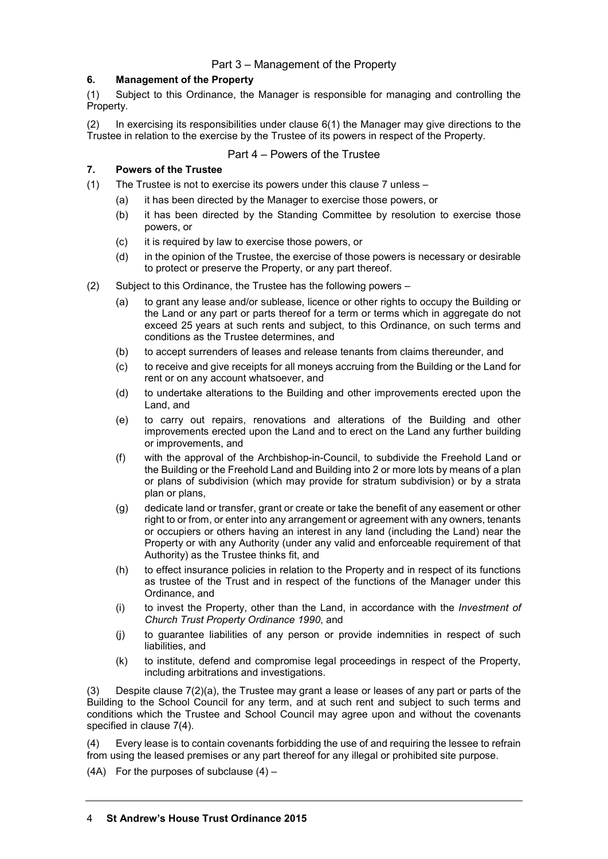# Part 3 – Management of the Property

# **6. Management of the Property**

(1) Subject to this Ordinance, the Manager is responsible for managing and controlling the Property.

(2) In exercising its responsibilities under clause 6(1) the Manager may give directions to the Trustee in relation to the exercise by the Trustee of its powers in respect of the Property.

# Part 4 – Powers of the Trustee

## **7. Powers of the Trustee**

- (1) The Trustee is not to exercise its powers under this clause 7 unless
	- (a) it has been directed by the Manager to exercise those powers, or
	- (b) it has been directed by the Standing Committee by resolution to exercise those powers, or
	- (c) it is required by law to exercise those powers, or
	- (d) in the opinion of the Trustee, the exercise of those powers is necessary or desirable to protect or preserve the Property, or any part thereof.
- (2) Subject to this Ordinance, the Trustee has the following powers
	- (a) to grant any lease and/or sublease, licence or other rights to occupy the Building or the Land or any part or parts thereof for a term or terms which in aggregate do not exceed 25 years at such rents and subject, to this Ordinance, on such terms and conditions as the Trustee determines, and
	- (b) to accept surrenders of leases and release tenants from claims thereunder, and
	- (c) to receive and give receipts for all moneys accruing from the Building or the Land for rent or on any account whatsoever, and
	- (d) to undertake alterations to the Building and other improvements erected upon the Land, and
	- (e) to carry out repairs, renovations and alterations of the Building and other improvements erected upon the Land and to erect on the Land any further building or improvements, and
	- (f) with the approval of the Archbishop-in-Council, to subdivide the Freehold Land or the Building or the Freehold Land and Building into 2 or more lots by means of a plan or plans of subdivision (which may provide for stratum subdivision) or by a strata plan or plans,
	- (g) dedicate land or transfer, grant or create or take the benefit of any easement or other right to or from, or enter into any arrangement or agreement with any owners, tenants or occupiers or others having an interest in any land (including the Land) near the Property or with any Authority (under any valid and enforceable requirement of that Authority) as the Trustee thinks fit, and
	- (h) to effect insurance policies in relation to the Property and in respect of its functions as trustee of the Trust and in respect of the functions of the Manager under this Ordinance, and
	- (i) to invest the Property, other than the Land, in accordance with the *Investment of Church Trust Property Ordinance 1990*, and
	- (j) to guarantee liabilities of any person or provide indemnities in respect of such liabilities, and
	- (k) to institute, defend and compromise legal proceedings in respect of the Property, including arbitrations and investigations.

(3) Despite clause  $7(2)(a)$ , the Trustee may grant a lease or leases of any part or parts of the Building to the School Council for any term, and at such rent and subject to such terms and conditions which the Trustee and School Council may agree upon and without the covenants specified in clause 7(4).

(4) Every lease is to contain covenants forbidding the use of and requiring the lessee to refrain from using the leased premises or any part thereof for any illegal or prohibited site purpose.

(4A) For the purposes of subclause  $(4)$  –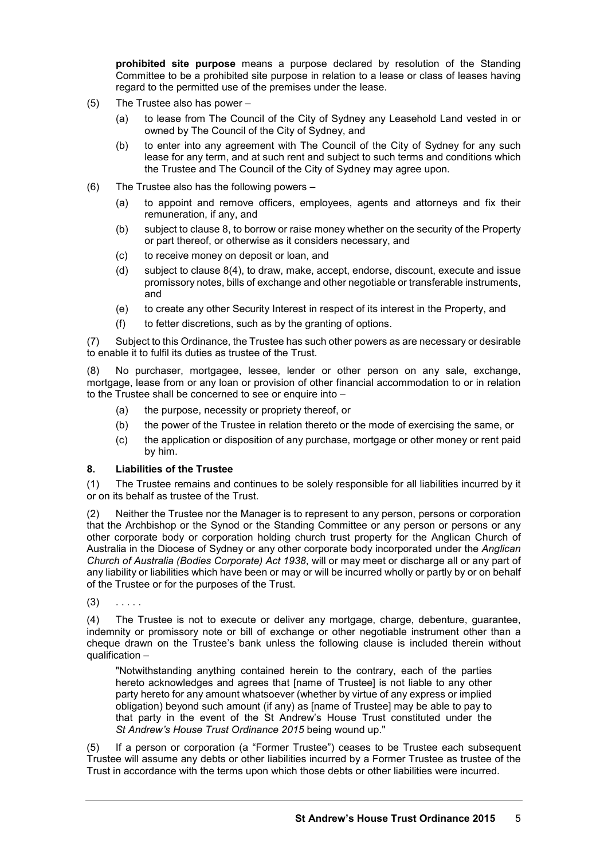**prohibited site purpose** means a purpose declared by resolution of the Standing Committee to be a prohibited site purpose in relation to a lease or class of leases having regard to the permitted use of the premises under the lease.

- (5) The Trustee also has power
	- (a) to lease from The Council of the City of Sydney any Leasehold Land vested in or owned by The Council of the City of Sydney, and
	- (b) to enter into any agreement with The Council of the City of Sydney for any such lease for any term, and at such rent and subject to such terms and conditions which the Trustee and The Council of the City of Sydney may agree upon.
- (6) The Trustee also has the following powers
	- (a) to appoint and remove officers, employees, agents and attorneys and fix their remuneration, if any, and
	- (b) subject to clause 8, to borrow or raise money whether on the security of the Property or part thereof, or otherwise as it considers necessary, and
	- (c) to receive money on deposit or loan, and
	- (d) subject to clause 8(4), to draw, make, accept, endorse, discount, execute and issue promissory notes, bills of exchange and other negotiable or transferable instruments, and
	- (e) to create any other Security Interest in respect of its interest in the Property, and
	- (f) to fetter discretions, such as by the granting of options.

(7) Subject to this Ordinance, the Trustee has such other powers as are necessary or desirable to enable it to fulfil its duties as trustee of the Trust.

(8) No purchaser, mortgagee, lessee, lender or other person on any sale, exchange, mortgage, lease from or any loan or provision of other financial accommodation to or in relation to the Trustee shall be concerned to see or enquire into –

- (a) the purpose, necessity or propriety thereof, or
- (b) the power of the Trustee in relation thereto or the mode of exercising the same, or
- (c) the application or disposition of any purchase, mortgage or other money or rent paid by him.

#### **8. Liabilities of the Trustee**

(1) The Trustee remains and continues to be solely responsible for all liabilities incurred by it or on its behalf as trustee of the Trust.

(2) Neither the Trustee nor the Manager is to represent to any person, persons or corporation that the Archbishop or the Synod or the Standing Committee or any person or persons or any other corporate body or corporation holding church trust property for the Anglican Church of Australia in the Diocese of Sydney or any other corporate body incorporated under the *Anglican Church of Australia (Bodies Corporate) Act 1938*, will or may meet or discharge all or any part of any liability or liabilities which have been or may or will be incurred wholly or partly by or on behalf of the Trustee or for the purposes of the Trust.

 $(3)$  . . . . .

(4) The Trustee is not to execute or deliver any mortgage, charge, debenture, guarantee, indemnity or promissory note or bill of exchange or other negotiable instrument other than a cheque drawn on the Trustee's bank unless the following clause is included therein without qualification –

"Notwithstanding anything contained herein to the contrary, each of the parties hereto acknowledges and agrees that [name of Trustee] is not liable to any other party hereto for any amount whatsoever (whether by virtue of any express or implied obligation) beyond such amount (if any) as [name of Trustee] may be able to pay to that party in the event of the St Andrew's House Trust constituted under the *St Andrew's House Trust Ordinance 2015* being wound up."

(5) If a person or corporation (a "Former Trustee") ceases to be Trustee each subsequent Trustee will assume any debts or other liabilities incurred by a Former Trustee as trustee of the Trust in accordance with the terms upon which those debts or other liabilities were incurred.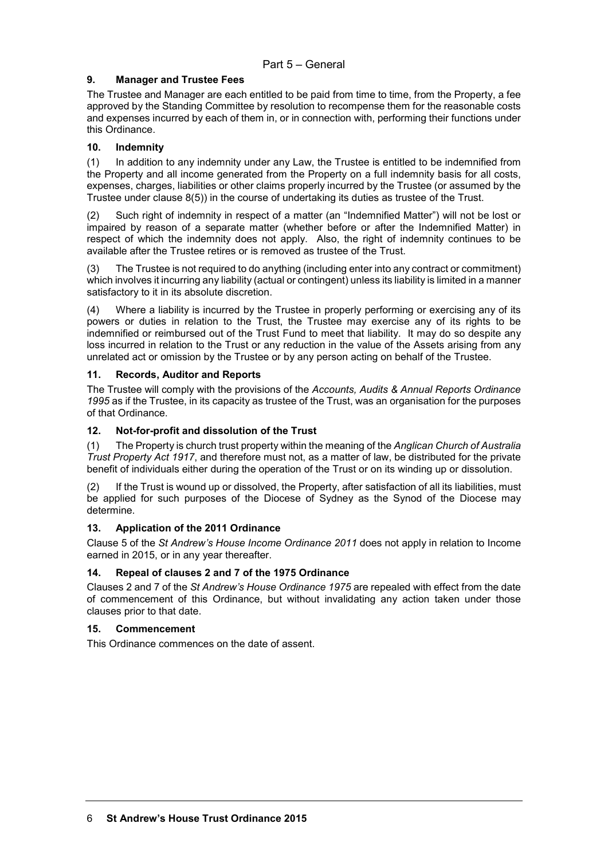#### **9. Manager and Trustee Fees**

The Trustee and Manager are each entitled to be paid from time to time, from the Property, a fee approved by the Standing Committee by resolution to recompense them for the reasonable costs and expenses incurred by each of them in, or in connection with, performing their functions under this Ordinance.

# **10. Indemnity**

(1) In addition to any indemnity under any Law, the Trustee is entitled to be indemnified from the Property and all income generated from the Property on a full indemnity basis for all costs, expenses, charges, liabilities or other claims properly incurred by the Trustee (or assumed by the Trustee under clause 8(5)) in the course of undertaking its duties as trustee of the Trust.

(2) Such right of indemnity in respect of a matter (an "Indemnified Matter") will not be lost or impaired by reason of a separate matter (whether before or after the Indemnified Matter) in respect of which the indemnity does not apply. Also, the right of indemnity continues to be available after the Trustee retires or is removed as trustee of the Trust.

(3) The Trustee is not required to do anything (including enter into any contract or commitment) which involves it incurring any liability (actual or contingent) unless its liability is limited in a manner satisfactory to it in its absolute discretion.

(4) Where a liability is incurred by the Trustee in properly performing or exercising any of its powers or duties in relation to the Trust, the Trustee may exercise any of its rights to be indemnified or reimbursed out of the Trust Fund to meet that liability. It may do so despite any loss incurred in relation to the Trust or any reduction in the value of the Assets arising from any unrelated act or omission by the Trustee or by any person acting on behalf of the Trustee.

# **11. Records, Auditor and Reports**

The Trustee will comply with the provisions of the *Accounts, Audits & Annual Reports Ordinance 1995* as if the Trustee, in its capacity as trustee of the Trust, was an organisation for the purposes of that Ordinance.

## **12. Not-for-profit and dissolution of the Trust**

(1) The Property is church trust property within the meaning of the *Anglican Church of Australia Trust Property Act 1917*, and therefore must not, as a matter of law, be distributed for the private benefit of individuals either during the operation of the Trust or on its winding up or dissolution.

(2) If the Trust is wound up or dissolved, the Property, after satisfaction of all its liabilities, must be applied for such purposes of the Diocese of Sydney as the Synod of the Diocese may determine.

# **13. Application of the 2011 Ordinance**

Clause 5 of the *St Andrew's House Income Ordinance 2011* does not apply in relation to Income earned in 2015, or in any year thereafter.

#### **14. Repeal of clauses 2 and 7 of the 1975 Ordinance**

Clauses 2 and 7 of the *St Andrew's House Ordinance 1975* are repealed with effect from the date of commencement of this Ordinance, but without invalidating any action taken under those clauses prior to that date.

#### **15. Commencement**

This Ordinance commences on the date of assent.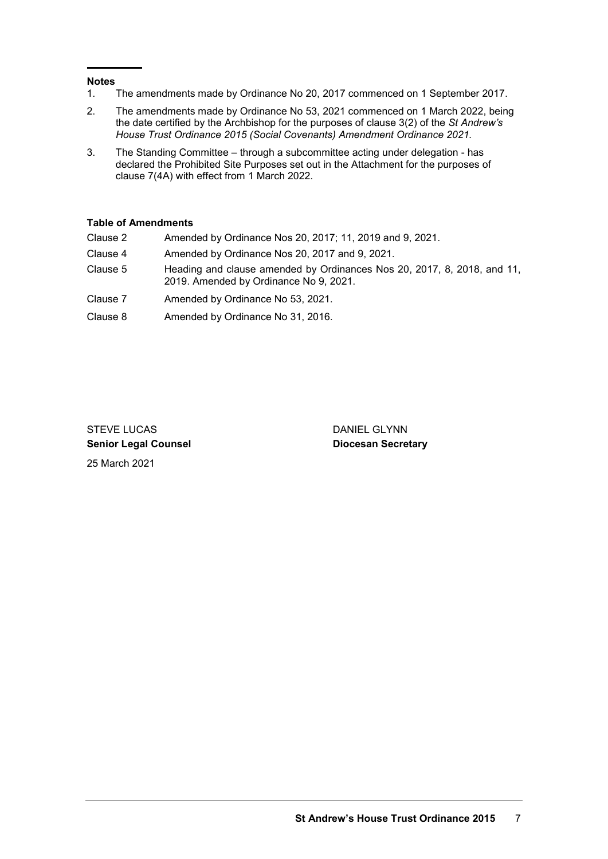#### **Notes**

- 1. The amendments made by Ordinance No 20, 2017 commenced on 1 September 2017.
- 2. The amendments made by Ordinance No 53, 2021 commenced on 1 March 2022, being the date certified by the Archbishop for the purposes of clause 3(2) of the *St Andrew's House Trust Ordinance 2015 (Social Covenants) Amendment Ordinance 2021.*
- 3. The Standing Committee through a subcommittee acting under delegation has declared the Prohibited Site Purposes set out in the Attachment for the purposes of clause 7(4A) with effect from 1 March 2022.

# **Table of Amendments**

- Clause 2 Amended by Ordinance Nos 20, 2017; 11, 2019 and 9, 2021.
- Clause 4 Amended by Ordinance Nos 20, 2017 and 9, 2021.
- Clause 5 Heading and clause amended by Ordinances Nos 20, 2017, 8, 2018, and 11, 2019. Amended by Ordinance No 9, 2021.
- Clause 7 Amended by Ordinance No 53, 2021.
- Clause 8 Amended by Ordinance No 31, 2016.

STEVE LUCAS DANIEL GLYNN **Senior Legal Counsel Diocesan Secretary** 25 March 2021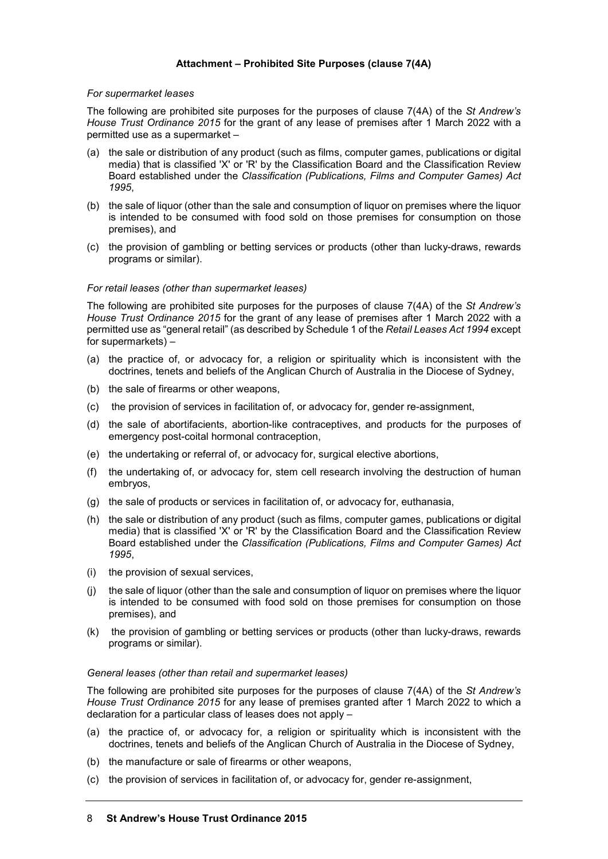#### **Attachment – Prohibited Site Purposes (clause 7(4A)**

#### *For supermarket leases*

The following are prohibited site purposes for the purposes of clause 7(4A) of the *St Andrew's House Trust Ordinance 2015* for the grant of any lease of premises after 1 March 2022 with a permitted use as a supermarket –

- (a) the sale or distribution of any product (such as films, computer games, publications or digital media) that is classified 'X' or 'R' by the Classification Board and the Classification Review Board established under the *Classification (Publications, Films and Computer Games) Act 1995*,
- (b) the sale of liquor (other than the sale and consumption of liquor on premises where the liquor is intended to be consumed with food sold on those premises for consumption on those premises), and
- (c) the provision of gambling or betting services or products (other than lucky-draws, rewards programs or similar).

#### *For retail leases (other than supermarket leases)*

The following are prohibited site purposes for the purposes of clause 7(4A) of the *St Andrew's House Trust Ordinance 2015* for the grant of any lease of premises after 1 March 2022 with a permitted use as "general retail" (as described by Schedule 1 of the *Retail Leases Act 1994* except for supermarkets) –

- (a) the practice of, or advocacy for, a religion or spirituality which is inconsistent with the doctrines, tenets and beliefs of the Anglican Church of Australia in the Diocese of Sydney,
- (b) the sale of firearms or other weapons,
- (c) the provision of services in facilitation of, or advocacy for, gender re-assignment,
- (d) the sale of abortifacients, abortion-like contraceptives, and products for the purposes of emergency post-coital hormonal contraception,
- (e) the undertaking or referral of, or advocacy for, surgical elective abortions,
- (f) the undertaking of, or advocacy for, stem cell research involving the destruction of human embryos,
- (g) the sale of products or services in facilitation of, or advocacy for, euthanasia,
- (h) the sale or distribution of any product (such as films, computer games, publications or digital media) that is classified 'X' or 'R' by the Classification Board and the Classification Review Board established under the *Classification (Publications, Films and Computer Games) Act 1995*,
- (i) the provision of sexual services,
- (j) the sale of liquor (other than the sale and consumption of liquor on premises where the liquor is intended to be consumed with food sold on those premises for consumption on those premises), and
- (k) the provision of gambling or betting services or products (other than lucky-draws, rewards programs or similar).

#### *General leases (other than retail and supermarket leases)*

The following are prohibited site purposes for the purposes of clause 7(4A) of the *St Andrew's House Trust Ordinance 2015* for any lease of premises granted after 1 March 2022 to which a declaration for a particular class of leases does not apply –

- (a) the practice of, or advocacy for, a religion or spirituality which is inconsistent with the doctrines, tenets and beliefs of the Anglican Church of Australia in the Diocese of Sydney,
- (b) the manufacture or sale of firearms or other weapons,
- (c) the provision of services in facilitation of, or advocacy for, gender re-assignment,